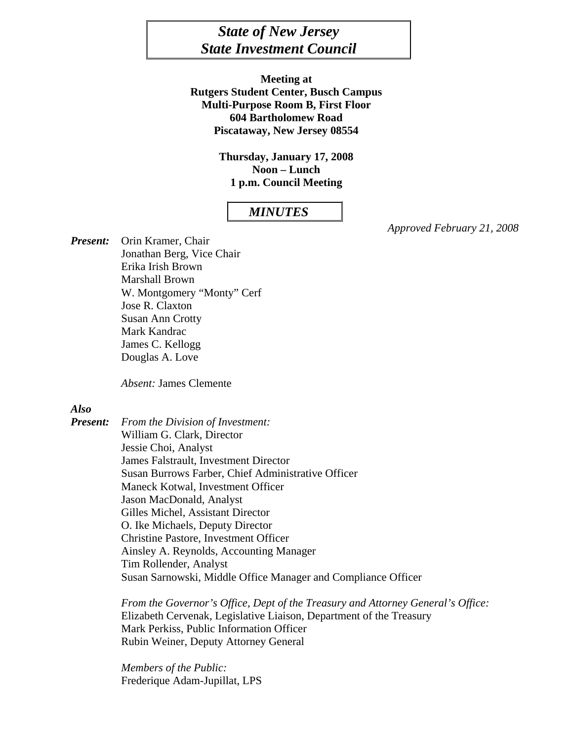# *State of New Jersey State Investment Council*

**Meeting at Rutgers Student Center, Busch Campus Multi-Purpose Room B, First Floor 604 Bartholomew Road Piscataway, New Jersey 08554** 

> **Thursday, January 17, 2008 Noon – Lunch 1 p.m. Council Meeting**

# *MINUTES*

*Approved February 21, 2008* 

*Present:* Orin Kramer, Chair Jonathan Berg, Vice Chair Erika Irish Brown Marshall Brown W. Montgomery "Monty" Cerf Jose R. Claxton Susan Ann Crotty Mark Kandrac James C. Kellogg Douglas A. Love

*Absent:* James Clemente

#### *Also*

*Present: From the Division of Investment:*  William G. Clark, Director Jessie Choi, Analyst James Falstrault, Investment Director Susan Burrows Farber, Chief Administrative Officer Maneck Kotwal, Investment Officer Jason MacDonald, Analyst Gilles Michel, Assistant Director O. Ike Michaels, Deputy Director Christine Pastore, Investment Officer Ainsley A. Reynolds, Accounting Manager Tim Rollender, Analyst Susan Sarnowski, Middle Office Manager and Compliance Officer

> *From the Governor's Office, Dept of the Treasury and Attorney General's Office:*  Elizabeth Cervenak, Legislative Liaison, Department of the Treasury Mark Perkiss, Public Information Officer Rubin Weiner, Deputy Attorney General

 *Members of the Public:* Frederique Adam-Jupillat, LPS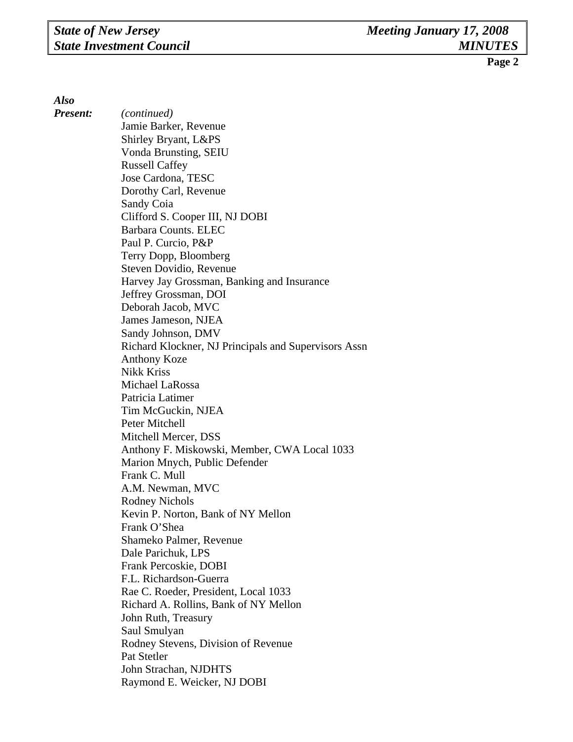*Also* 

*Present: (continued)*  Jamie Barker, Revenue Shirley Bryant, L&PS Vonda Brunsting, SEIU Russell Caffey Jose Cardona, TESC Dorothy Carl, Revenue Sandy Coia Clifford S. Cooper III, NJ DOBI Barbara Counts. ELEC Paul P. Curcio, P&P Terry Dopp, Bloomberg Steven Dovidio, Revenue Harvey Jay Grossman, Banking and Insurance Jeffrey Grossman, DOI Deborah Jacob, MVC James Jameson, NJEA Sandy Johnson, DMV Richard Klockner, NJ Principals and Supervisors Assn Anthony Koze Nikk Kriss Michael LaRossa Patricia Latimer Tim McGuckin, NJEA Peter Mitchell Mitchell Mercer, DSS Anthony F. Miskowski, Member, CWA Local 1033 Marion Mnych, Public Defender Frank C. Mull A.M. Newman, MVC Rodney Nichols Kevin P. Norton, Bank of NY Mellon Frank O'Shea Shameko Palmer, Revenue Dale Parichuk, LPS Frank Percoskie, DOBI F.L. Richardson-Guerra Rae C. Roeder, President, Local 1033 Richard A. Rollins, Bank of NY Mellon John Ruth, Treasury Saul Smulyan Rodney Stevens, Division of Revenue Pat Stetler John Strachan, NJDHTS Raymond E. Weicker, NJ DOBI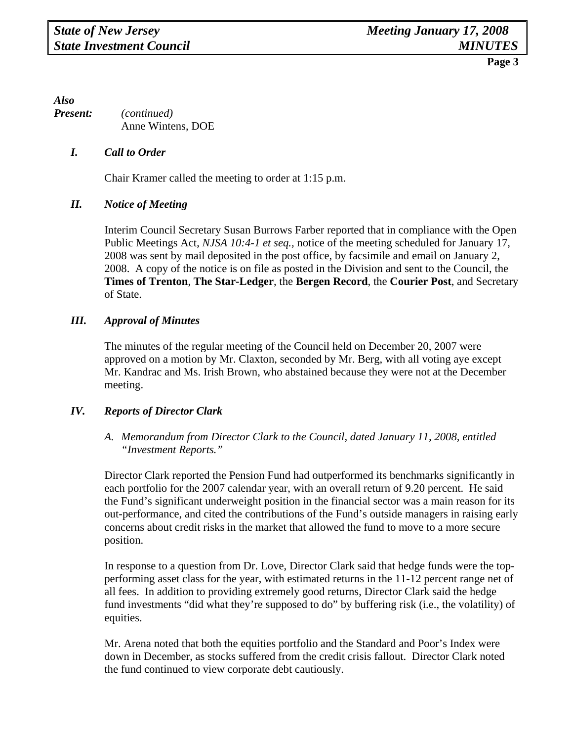*Also Present: (continued)*  Anne Wintens, DOE

# *I. Call to Order*

Chair Kramer called the meeting to order at 1:15 p.m.

#### *II. Notice of Meeting*

 Interim Council Secretary Susan Burrows Farber reported that in compliance with the Open Public Meetings Act, *NJSA 10:4-1 et seq.,* notice of the meeting scheduled for January 17, 2008 was sent by mail deposited in the post office, by facsimile and email on January 2, 2008. A copy of the notice is on file as posted in the Division and sent to the Council, the **Times of Trenton**, **The Star-Ledger**, the **Bergen Record**, the **Courier Post**, and Secretary of State.

# *III. Approval of Minutes*

The minutes of the regular meeting of the Council held on December 20, 2007 were approved on a motion by Mr. Claxton, seconded by Mr. Berg, with all voting aye except Mr. Kandrac and Ms. Irish Brown, who abstained because they were not at the December meeting.

#### *IV. Reports of Director Clark*

# *A. Memorandum from Director Clark to the Council, dated January 11, 2008, entitled "Investment Reports."*

Director Clark reported the Pension Fund had outperformed its benchmarks significantly in each portfolio for the 2007 calendar year, with an overall return of 9.20 percent. He said the Fund's significant underweight position in the financial sector was a main reason for its out-performance, and cited the contributions of the Fund's outside managers in raising early concerns about credit risks in the market that allowed the fund to move to a more secure position.

In response to a question from Dr. Love, Director Clark said that hedge funds were the topperforming asset class for the year, with estimated returns in the 11-12 percent range net of all fees. In addition to providing extremely good returns, Director Clark said the hedge fund investments "did what they're supposed to do" by buffering risk (i.e., the volatility) of equities.

Mr. Arena noted that both the equities portfolio and the Standard and Poor's Index were down in December, as stocks suffered from the credit crisis fallout. Director Clark noted the fund continued to view corporate debt cautiously.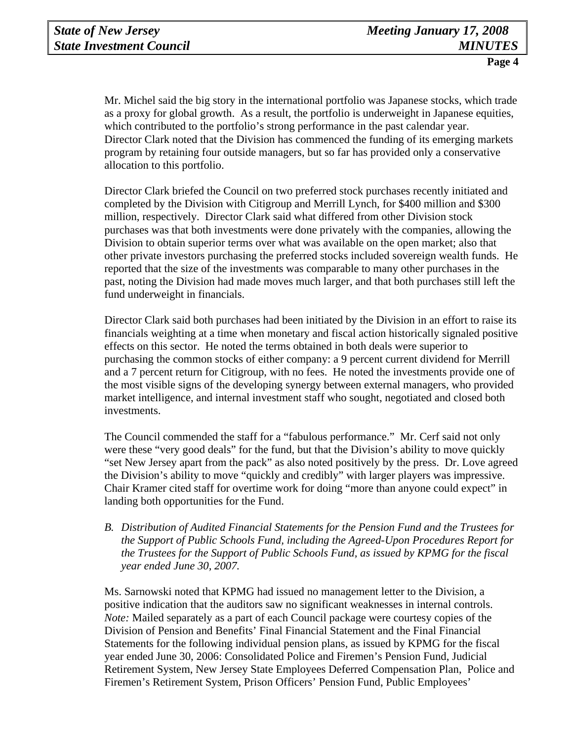Mr. Michel said the big story in the international portfolio was Japanese stocks, which trade as a proxy for global growth. As a result, the portfolio is underweight in Japanese equities, which contributed to the portfolio's strong performance in the past calendar year. Director Clark noted that the Division has commenced the funding of its emerging markets program by retaining four outside managers, but so far has provided only a conservative allocation to this portfolio.

Director Clark briefed the Council on two preferred stock purchases recently initiated and completed by the Division with Citigroup and Merrill Lynch, for \$400 million and \$300 million, respectively. Director Clark said what differed from other Division stock purchases was that both investments were done privately with the companies, allowing the Division to obtain superior terms over what was available on the open market; also that other private investors purchasing the preferred stocks included sovereign wealth funds. He reported that the size of the investments was comparable to many other purchases in the past, noting the Division had made moves much larger, and that both purchases still left the fund underweight in financials.

Director Clark said both purchases had been initiated by the Division in an effort to raise its financials weighting at a time when monetary and fiscal action historically signaled positive effects on this sector. He noted the terms obtained in both deals were superior to purchasing the common stocks of either company: a 9 percent current dividend for Merrill and a 7 percent return for Citigroup, with no fees. He noted the investments provide one of the most visible signs of the developing synergy between external managers, who provided market intelligence, and internal investment staff who sought, negotiated and closed both investments.

The Council commended the staff for a "fabulous performance." Mr. Cerf said not only were these "very good deals" for the fund, but that the Division's ability to move quickly "set New Jersey apart from the pack" as also noted positively by the press. Dr. Love agreed the Division's ability to move "quickly and credibly" with larger players was impressive. Chair Kramer cited staff for overtime work for doing "more than anyone could expect" in landing both opportunities for the Fund.

*B. Distribution of Audited Financial Statements for the Pension Fund and the Trustees for the Support of Public Schools Fund, including the Agreed-Upon Procedures Report for the Trustees for the Support of Public Schools Fund, as issued by KPMG for the fiscal year ended June 30, 2007.* 

Ms. Sarnowski noted that KPMG had issued no management letter to the Division, a positive indication that the auditors saw no significant weaknesses in internal controls. *Note:* Mailed separately as a part of each Council package were courtesy copies of the Division of Pension and Benefits' Final Financial Statement and the Final Financial Statements for the following individual pension plans, as issued by KPMG for the fiscal year ended June 30, 2006: Consolidated Police and Firemen's Pension Fund, Judicial Retirement System, New Jersey State Employees Deferred Compensation Plan, Police and Firemen's Retirement System, Prison Officers' Pension Fund, Public Employees'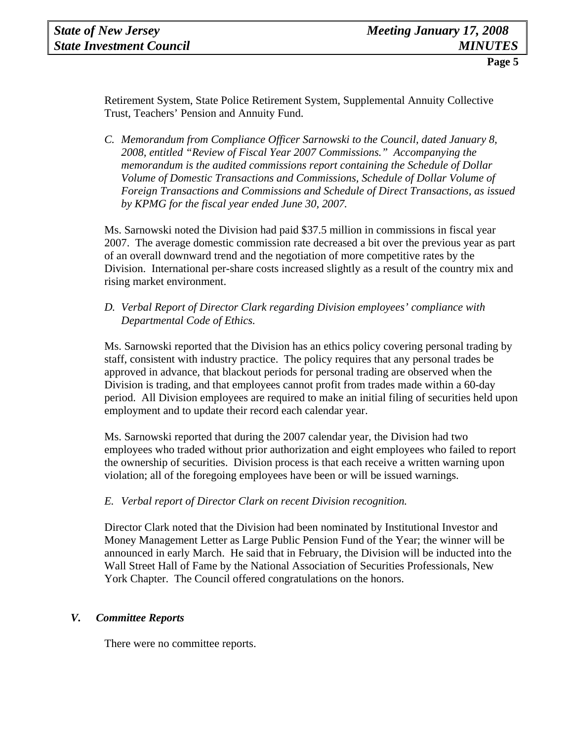Retirement System, State Police Retirement System, Supplemental Annuity Collective Trust, Teachers' Pension and Annuity Fund.

*C. Memorandum from Compliance Officer Sarnowski to the Council, dated January 8, 2008, entitled "Review of Fiscal Year 2007 Commissions." Accompanying the memorandum is the audited commissions report containing the Schedule of Dollar Volume of Domestic Transactions and Commissions, Schedule of Dollar Volume of Foreign Transactions and Commissions and Schedule of Direct Transactions, as issued by KPMG for the fiscal year ended June 30, 2007.* 

Ms. Sarnowski noted the Division had paid \$37.5 million in commissions in fiscal year 2007. The average domestic commission rate decreased a bit over the previous year as part of an overall downward trend and the negotiation of more competitive rates by the Division. International per-share costs increased slightly as a result of the country mix and rising market environment.

*D. Verbal Report of Director Clark regarding Division employees' compliance with Departmental Code of Ethics.* 

Ms. Sarnowski reported that the Division has an ethics policy covering personal trading by staff, consistent with industry practice. The policy requires that any personal trades be approved in advance, that blackout periods for personal trading are observed when the Division is trading, and that employees cannot profit from trades made within a 60-day period. All Division employees are required to make an initial filing of securities held upon employment and to update their record each calendar year.

Ms. Sarnowski reported that during the 2007 calendar year, the Division had two employees who traded without prior authorization and eight employees who failed to report the ownership of securities. Division process is that each receive a written warning upon violation; all of the foregoing employees have been or will be issued warnings.

# *E. Verbal report of Director Clark on recent Division recognition.*

Director Clark noted that the Division had been nominated by Institutional Investor and Money Management Letter as Large Public Pension Fund of the Year; the winner will be announced in early March. He said that in February, the Division will be inducted into the Wall Street Hall of Fame by the National Association of Securities Professionals, New York Chapter. The Council offered congratulations on the honors.

#### *V. Committee Reports*

There were no committee reports.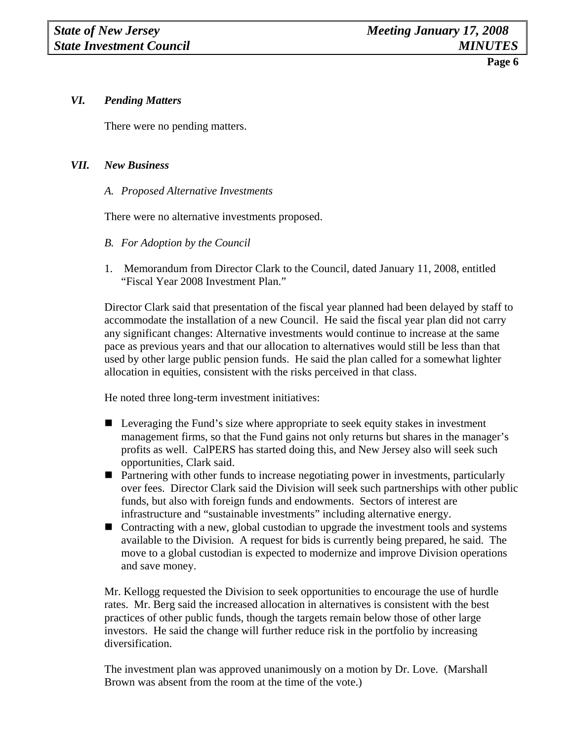# *VI. Pending Matters*

There were no pending matters.

# *VII. New Business*

*A. Proposed Alternative Investments* 

There were no alternative investments proposed.

- *B. For Adoption by the Council*
- 1. Memorandum from Director Clark to the Council, dated January 11, 2008, entitled "Fiscal Year 2008 Investment Plan."

Director Clark said that presentation of the fiscal year planned had been delayed by staff to accommodate the installation of a new Council. He said the fiscal year plan did not carry any significant changes: Alternative investments would continue to increase at the same pace as previous years and that our allocation to alternatives would still be less than that used by other large public pension funds. He said the plan called for a somewhat lighter allocation in equities, consistent with the risks perceived in that class.

He noted three long-term investment initiatives:

- Leveraging the Fund's size where appropriate to seek equity stakes in investment management firms, so that the Fund gains not only returns but shares in the manager's profits as well. CalPERS has started doing this, and New Jersey also will seek such opportunities, Clark said.
- Partnering with other funds to increase negotiating power in investments, particularly over fees. Director Clark said the Division will seek such partnerships with other public funds, but also with foreign funds and endowments. Sectors of interest are infrastructure and "sustainable investments" including alternative energy.
- Contracting with a new, global custodian to upgrade the investment tools and systems available to the Division. A request for bids is currently being prepared, he said. The move to a global custodian is expected to modernize and improve Division operations and save money.

Mr. Kellogg requested the Division to seek opportunities to encourage the use of hurdle rates. Mr. Berg said the increased allocation in alternatives is consistent with the best practices of other public funds, though the targets remain below those of other large investors. He said the change will further reduce risk in the portfolio by increasing diversification.

The investment plan was approved unanimously on a motion by Dr. Love. (Marshall Brown was absent from the room at the time of the vote.)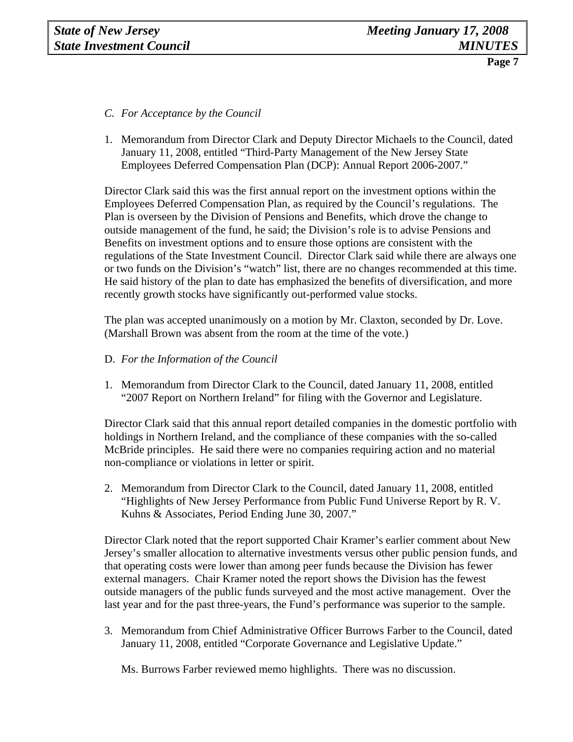- *C. For Acceptance by the Council*
- 1. Memorandum from Director Clark and Deputy Director Michaels to the Council, dated January 11, 2008, entitled "Third-Party Management of the New Jersey State Employees Deferred Compensation Plan (DCP): Annual Report 2006-2007."

Director Clark said this was the first annual report on the investment options within the Employees Deferred Compensation Plan, as required by the Council's regulations. The Plan is overseen by the Division of Pensions and Benefits, which drove the change to outside management of the fund, he said; the Division's role is to advise Pensions and Benefits on investment options and to ensure those options are consistent with the regulations of the State Investment Council. Director Clark said while there are always one or two funds on the Division's "watch" list, there are no changes recommended at this time. He said history of the plan to date has emphasized the benefits of diversification, and more recently growth stocks have significantly out-performed value stocks.

The plan was accepted unanimously on a motion by Mr. Claxton, seconded by Dr. Love. (Marshall Brown was absent from the room at the time of the vote.)

- D. *For the Information of the Council*
- 1. Memorandum from Director Clark to the Council, dated January 11, 2008, entitled "2007 Report on Northern Ireland" for filing with the Governor and Legislature.

Director Clark said that this annual report detailed companies in the domestic portfolio with holdings in Northern Ireland, and the compliance of these companies with the so-called McBride principles. He said there were no companies requiring action and no material non-compliance or violations in letter or spirit.

2. Memorandum from Director Clark to the Council, dated January 11, 2008, entitled "Highlights of New Jersey Performance from Public Fund Universe Report by R. V. Kuhns & Associates, Period Ending June 30, 2007."

Director Clark noted that the report supported Chair Kramer's earlier comment about New Jersey's smaller allocation to alternative investments versus other public pension funds, and that operating costs were lower than among peer funds because the Division has fewer external managers. Chair Kramer noted the report shows the Division has the fewest outside managers of the public funds surveyed and the most active management. Over the last year and for the past three-years, the Fund's performance was superior to the sample.

3. Memorandum from Chief Administrative Officer Burrows Farber to the Council, dated January 11, 2008, entitled "Corporate Governance and Legislative Update."

Ms. Burrows Farber reviewed memo highlights. There was no discussion.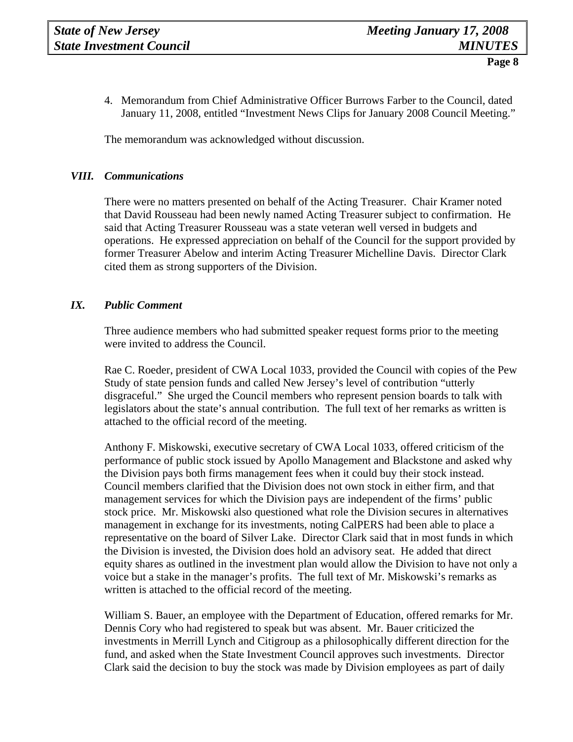4. Memorandum from Chief Administrative Officer Burrows Farber to the Council, dated January 11, 2008, entitled "Investment News Clips for January 2008 Council Meeting."

The memorandum was acknowledged without discussion.

#### *VIII. Communications*

There were no matters presented on behalf of the Acting Treasurer. Chair Kramer noted that David Rousseau had been newly named Acting Treasurer subject to confirmation. He said that Acting Treasurer Rousseau was a state veteran well versed in budgets and operations. He expressed appreciation on behalf of the Council for the support provided by former Treasurer Abelow and interim Acting Treasurer Michelline Davis. Director Clark cited them as strong supporters of the Division.

# *IX. Public Comment*

Three audience members who had submitted speaker request forms prior to the meeting were invited to address the Council.

Rae C. Roeder, president of CWA Local 1033, provided the Council with copies of the Pew Study of state pension funds and called New Jersey's level of contribution "utterly disgraceful." She urged the Council members who represent pension boards to talk with legislators about the state's annual contribution. The full text of her remarks as written is attached to the official record of the meeting.

Anthony F. Miskowski, executive secretary of CWA Local 1033, offered criticism of the performance of public stock issued by Apollo Management and Blackstone and asked why the Division pays both firms management fees when it could buy their stock instead. Council members clarified that the Division does not own stock in either firm, and that management services for which the Division pays are independent of the firms' public stock price. Mr. Miskowski also questioned what role the Division secures in alternatives management in exchange for its investments, noting CalPERS had been able to place a representative on the board of Silver Lake. Director Clark said that in most funds in which the Division is invested, the Division does hold an advisory seat. He added that direct equity shares as outlined in the investment plan would allow the Division to have not only a voice but a stake in the manager's profits. The full text of Mr. Miskowski's remarks as written is attached to the official record of the meeting.

William S. Bauer, an employee with the Department of Education, offered remarks for Mr. Dennis Cory who had registered to speak but was absent. Mr. Bauer criticized the investments in Merrill Lynch and Citigroup as a philosophically different direction for the fund, and asked when the State Investment Council approves such investments. Director Clark said the decision to buy the stock was made by Division employees as part of daily